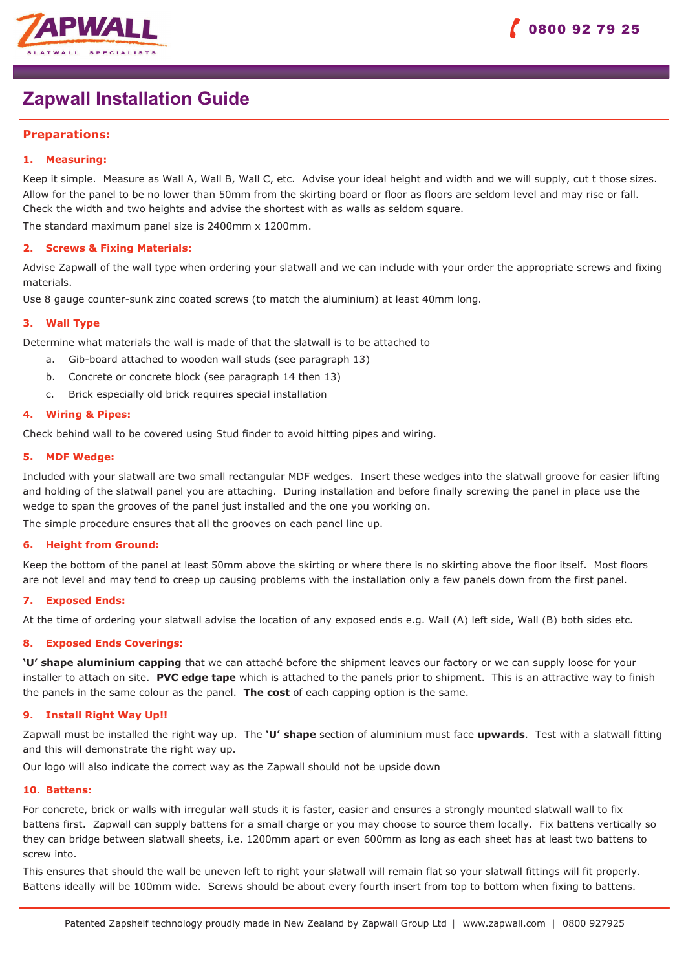

# **Zapwall Installation Guide**

## **Preparations:**

## **1. Measuring:**

Keep it simple. Measure as Wall A, Wall B, Wall C, etc. Advise your ideal height and width and we will supply, cut t those sizes. Allow for the panel to be no lower than 50mm from the skirting board or floor as floors are seldom level and may rise or fall. Check the width and two heights and advise the shortest with as walls as seldom square.

The standard maximum panel size is 2400mm x 1200mm.

## **2. Screws & Fixing Materials:**

Advise Zapwall of the wall type when ordering your slatwall and we can include with your order the appropriate screws and fixing materials.

Use 8 gauge counter-sunk zinc coated screws (to match the aluminium) at least 40mm long.

## **3. Wall Type**

Determine what materials the wall is made of that the slatwall is to be attached to

- a. Gib-board attached to wooden wall studs (see paragraph 13)
- b. Concrete or concrete block (see paragraph 14 then 13)
- c. Brick especially old brick requires special installation

## **4. Wiring & Pipes:**

Check behind wall to be covered using Stud finder to avoid hitting pipes and wiring.

## **5. MDF Wedge:**

Included with your slatwall are two small rectangular MDF wedges. Insert these wedges into the slatwall groove for easier lifting and holding of the slatwall panel you are attaching. During installation and before finally screwing the panel in place use the wedge to span the grooves of the panel just installed and the one you working on.

The simple procedure ensures that all the grooves on each panel line up.

#### **6. Height from Ground:**

Keep the bottom of the panel at least 50mm above the skirting or where there is no skirting above the floor itself. Most floors are not level and may tend to creep up causing problems with the installation only a few panels down from the first panel.

## **7. Exposed Ends:**

At the time of ordering your slatwall advise the location of any exposed ends e.g. Wall (A) left side, Wall (B) both sides etc.

## **8. Exposed Ends Coverings:**

**'U' shape aluminium capping** that we can attaché before the shipment leaves our factory or we can supply loose for your installer to attach on site. **PVC edge tape** which is attached to the panels prior to shipment. This is an attractive way to finish the panels in the same colour as the panel. **The cost** of each capping option is the same.

## **9. Install Right Way Up!!**

Zapwall must be installed the right way up. The **'U' shape** section of aluminium must face **upwards**. Test with a slatwall fitting and this will demonstrate the right way up.

Our logo will also indicate the correct way as the Zapwall should not be upside down

#### **10. Battens:**

For concrete, brick or walls with irregular wall studs it is faster, easier and ensures a strongly mounted slatwall wall to fix battens first. Zapwall can supply battens for a small charge or you may choose to source them locally. Fix battens vertically so they can bridge between slatwall sheets, i.e. 1200mm apart or even 600mm as long as each sheet has at least two battens to screw into.

This ensures that should the wall be uneven left to right your slatwall will remain flat so your slatwall fittings will fit properly. Battens ideally will be 100mm wide. Screws should be about every fourth insert from top to bottom when fixing to battens.